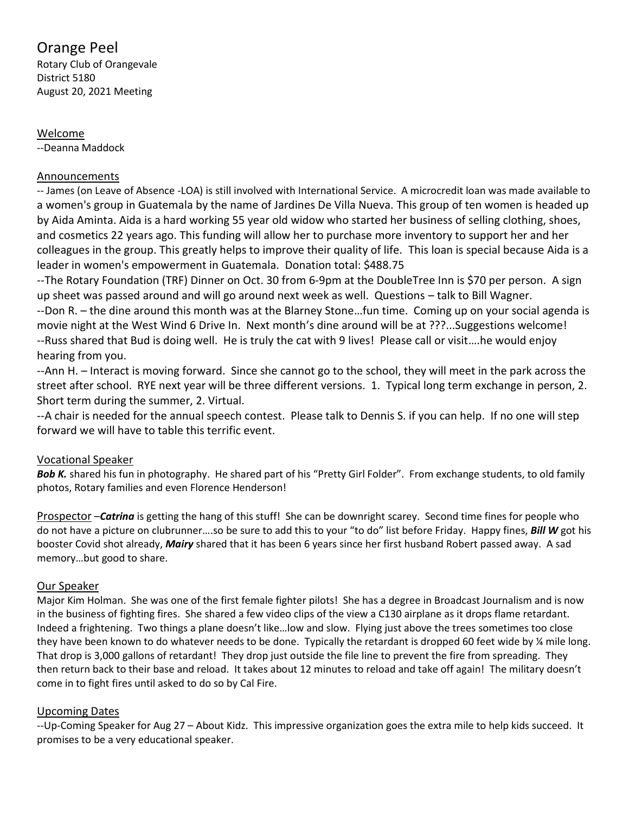# Orange Peel

Rotary Club of Orangevale District 5180 August 20, 2021 Meeting

#### Welcome

--Deanna Maddock

### Announcements

-- James (on Leave of Absence -LOA) is still involved with International Service. A microcredit loan was made available to a women's group in Guatemala by the name of Jardines De Villa Nueva. This group of ten women is headed up by Aida Aminta. Aida is a hard working 55 year old widow who started her business of selling clothing, shoes, and cosmetics 22 years ago. This funding will allow her to purchase more inventory to support her and her colleagues in the group. This greatly helps to improve their quality of life. This loan is special because Aida is a leader in women's empowerment in Guatemala. Donation total: \$488.75

--The Rotary Foundation (TRF) Dinner on Oct. 30 from 6-9pm at the DoubleTree Inn is \$70 per person. A sign up sheet was passed around and will go around next week as well. Questions – talk to Bill Wagner.

--Don R. – the dine around this month was at the Blarney Stone…fun time. Coming up on your social agenda is movie night at the West Wind 6 Drive In. Next month's dine around will be at ???...Suggestions welcome! --Russ shared that Bud is doing well. He is truly the cat with 9 lives! Please call or visit….he would enjoy hearing from you.

--Ann H. – Interact is moving forward. Since she cannot go to the school, they will meet in the park across the street after school. RYE next year will be three different versions. 1. Typical long term exchange in person, 2. Short term during the summer, 2. Virtual.

--A chair is needed for the annual speech contest. Please talk to Dennis S. if you can help. If no one will step forward we will have to table this terrific event.

# Vocational Speaker

*Bob K.* shared his fun in photography. He shared part of his "Pretty Girl Folder". From exchange students, to old family photos, Rotary families and even Florence Henderson!

Prospector –*Catrina* is getting the hang of this stuff! She can be downright scarey. Second time fines for people who do not have a picture on clubrunner….so be sure to add this to your "to do" list before Friday. Happy fines, *Bill W* got his booster Covid shot already, *Mairy* shared that it has been 6 years since her first husband Robert passed away. A sad memory…but good to share.

## Our Speaker

Major Kim Holman. She was one of the first female fighter pilots! She has a degree in Broadcast Journalism and is now in the business of fighting fires. She shared a few video clips of the view a C130 airplane as it drops flame retardant. Indeed a frightening. Two things a plane doesn't like…low and slow. Flying just above the trees sometimes too close they have been known to do whatever needs to be done. Typically the retardant is dropped 60 feet wide by % mile long. That drop is 3,000 gallons of retardant! They drop just outside the file line to prevent the fire from spreading. They then return back to their base and reload. It takes about 12 minutes to reload and take off again! The military doesn't come in to fight fires until asked to do so by Cal Fire.

## Upcoming Dates

--Up-Coming Speaker for Aug 27 – About Kidz. This impressive organization goes the extra mile to help kids succeed. It promises to be a very educational speaker.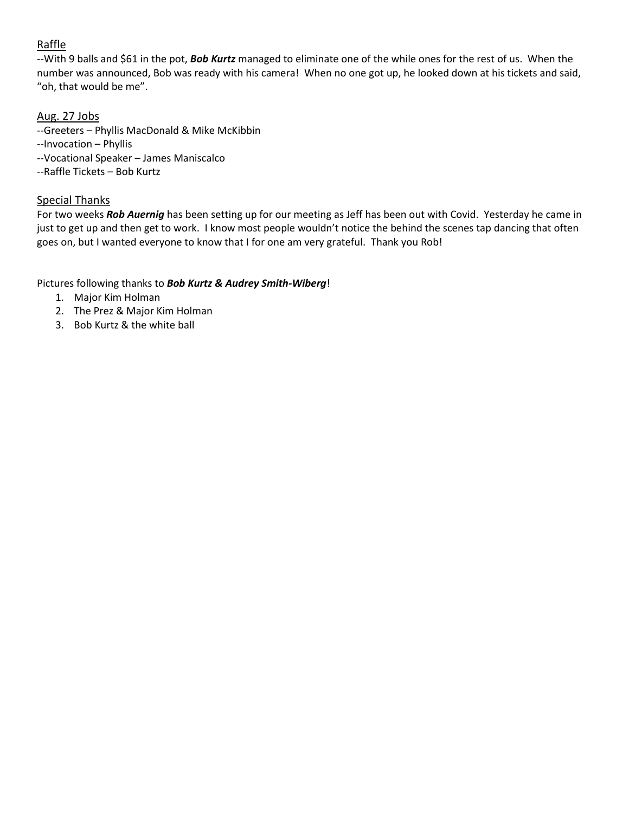# Raffle

--With 9 balls and \$61 in the pot, *Bob Kurtz* managed to eliminate one of the while ones for the rest of us. When the number was announced, Bob was ready with his camera! When no one got up, he looked down at his tickets and said, "oh, that would be me".

#### Aug. 27 Jobs

--Greeters – Phyllis MacDonald & Mike McKibbin --Invocation – Phyllis --Vocational Speaker – James Maniscalco

--Raffle Tickets – Bob Kurtz

## Special Thanks

For two weeks *Rob Auernig* has been setting up for our meeting as Jeff has been out with Covid. Yesterday he came in just to get up and then get to work. I know most people wouldn't notice the behind the scenes tap dancing that often goes on, but I wanted everyone to know that I for one am very grateful. Thank you Rob!

#### Pictures following thanks to *Bob Kurtz & Audrey Smith-Wiberg*!

- 1. Major Kim Holman
- 2. The Prez & Major Kim Holman
- 3. Bob Kurtz & the white ball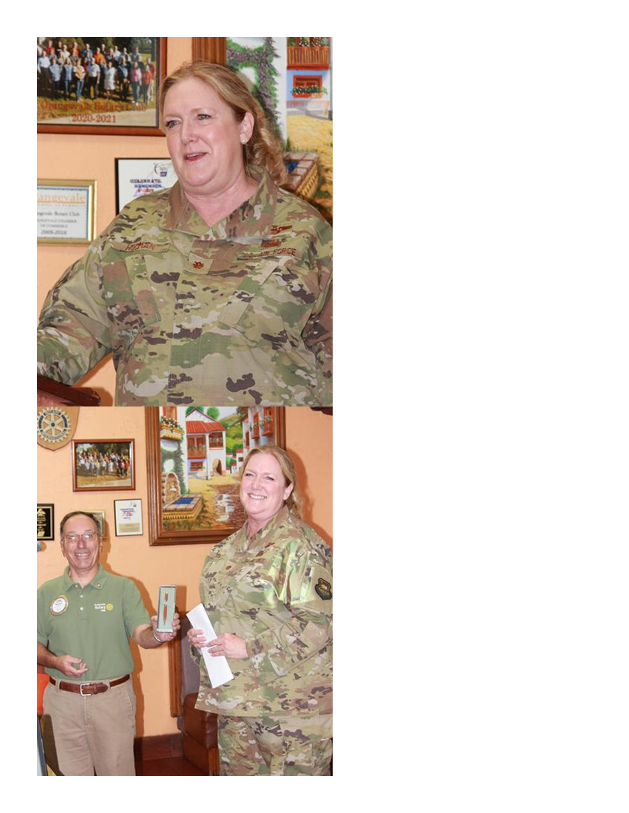